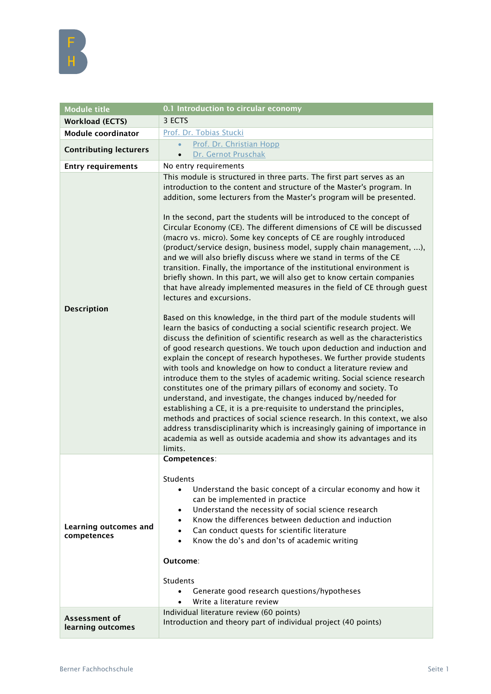

| <b>Module title</b>                  | 0.1 Introduction to circular economy                                                                                                                                                                                                                                                                                                                                                                                                                                                                                                                                                                                                                                                                                                                                                                                                                                                                                                                                                                                                                                                                                                                                                                                                                                                                                                                                                                                                                                                                                                                                                                                                                                                                                                                                                                                                                                    |
|--------------------------------------|-------------------------------------------------------------------------------------------------------------------------------------------------------------------------------------------------------------------------------------------------------------------------------------------------------------------------------------------------------------------------------------------------------------------------------------------------------------------------------------------------------------------------------------------------------------------------------------------------------------------------------------------------------------------------------------------------------------------------------------------------------------------------------------------------------------------------------------------------------------------------------------------------------------------------------------------------------------------------------------------------------------------------------------------------------------------------------------------------------------------------------------------------------------------------------------------------------------------------------------------------------------------------------------------------------------------------------------------------------------------------------------------------------------------------------------------------------------------------------------------------------------------------------------------------------------------------------------------------------------------------------------------------------------------------------------------------------------------------------------------------------------------------------------------------------------------------------------------------------------------------|
| <b>Workload (ECTS)</b>               | 3 ECTS                                                                                                                                                                                                                                                                                                                                                                                                                                                                                                                                                                                                                                                                                                                                                                                                                                                                                                                                                                                                                                                                                                                                                                                                                                                                                                                                                                                                                                                                                                                                                                                                                                                                                                                                                                                                                                                                  |
| <b>Module coordinator</b>            | Prof. Dr. Tobias Stucki                                                                                                                                                                                                                                                                                                                                                                                                                                                                                                                                                                                                                                                                                                                                                                                                                                                                                                                                                                                                                                                                                                                                                                                                                                                                                                                                                                                                                                                                                                                                                                                                                                                                                                                                                                                                                                                 |
| <b>Contributing lecturers</b>        | Prof. Dr. Christian Hopp<br>$\bullet$                                                                                                                                                                                                                                                                                                                                                                                                                                                                                                                                                                                                                                                                                                                                                                                                                                                                                                                                                                                                                                                                                                                                                                                                                                                                                                                                                                                                                                                                                                                                                                                                                                                                                                                                                                                                                                   |
|                                      | Dr. Gernot Pruschak<br>$\bullet$                                                                                                                                                                                                                                                                                                                                                                                                                                                                                                                                                                                                                                                                                                                                                                                                                                                                                                                                                                                                                                                                                                                                                                                                                                                                                                                                                                                                                                                                                                                                                                                                                                                                                                                                                                                                                                        |
| <b>Entry requirements</b>            | No entry requirements                                                                                                                                                                                                                                                                                                                                                                                                                                                                                                                                                                                                                                                                                                                                                                                                                                                                                                                                                                                                                                                                                                                                                                                                                                                                                                                                                                                                                                                                                                                                                                                                                                                                                                                                                                                                                                                   |
| <b>Description</b>                   | This module is structured in three parts. The first part serves as an<br>introduction to the content and structure of the Master's program. In<br>addition, some lecturers from the Master's program will be presented.<br>In the second, part the students will be introduced to the concept of<br>Circular Economy (CE). The different dimensions of CE will be discussed<br>(macro vs. micro). Some key concepts of CE are roughly introduced<br>(product/service design, business model, supply chain management, ),<br>and we will also briefly discuss where we stand in terms of the CE<br>transition. Finally, the importance of the institutional environment is<br>briefly shown. In this part, we will also get to know certain companies<br>that have already implemented measures in the field of CE through guest<br>lectures and excursions.<br>Based on this knowledge, in the third part of the module students will<br>learn the basics of conducting a social scientific research project. We<br>discuss the definition of scientific research as well as the characteristics<br>of good research questions. We touch upon deduction and induction and<br>explain the concept of research hypotheses. We further provide students<br>with tools and knowledge on how to conduct a literature review and<br>introduce them to the styles of academic writing. Social science research<br>constitutes one of the primary pillars of economy and society. To<br>understand, and investigate, the changes induced by/needed for<br>establishing a CE, it is a pre-requisite to understand the principles,<br>methods and practices of social science research. In this context, we also<br>address transdisciplinarity which is increasingly gaining of importance in<br>academia as well as outside academia and show its advantages and its<br>limits. |
| Learning outcomes and<br>competences | Competences:<br><b>Students</b><br>Understand the basic concept of a circular economy and how it<br>$\bullet$<br>can be implemented in practice<br>Understand the necessity of social science research<br>$\bullet$<br>Know the differences between deduction and induction<br>$\bullet$<br>Can conduct quests for scientific literature<br>$\bullet$<br>Know the do's and don'ts of academic writing<br>Outcome:<br>Students<br>Generate good research questions/hypotheses<br>Write a literature review<br>$\bullet$                                                                                                                                                                                                                                                                                                                                                                                                                                                                                                                                                                                                                                                                                                                                                                                                                                                                                                                                                                                                                                                                                                                                                                                                                                                                                                                                                  |
| Assessment of<br>learning outcomes   | Individual literature review (60 points)<br>Introduction and theory part of individual project (40 points)                                                                                                                                                                                                                                                                                                                                                                                                                                                                                                                                                                                                                                                                                                                                                                                                                                                                                                                                                                                                                                                                                                                                                                                                                                                                                                                                                                                                                                                                                                                                                                                                                                                                                                                                                              |